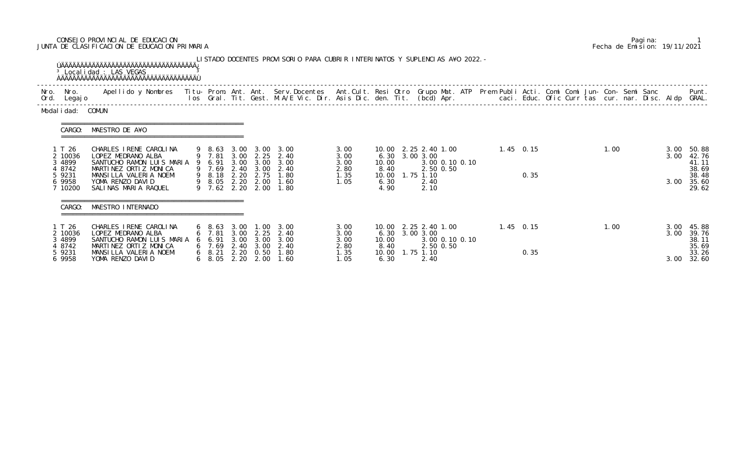## CONSEJO PROVINCIAL DE EDUCACION Pagina: 1 JUNTA DE CLASIFICACION DE EDUCACION PRIMARIA Fecha de Emision: 19/11/2021

|                                                                      | <sup>3</sup> Localidad : LAS VEGAS                                                                                                                                                                                                |                                                                                                    |                              |                                   | LISTADO DOCENTES PROVISORIO PARA CUBRIR INTERINATOS Y SUPLENCIAS A¥O 2022. -                               |                                              |                                        |                |                           |                                                     |  |                     |  |      |                      |                                                             |
|----------------------------------------------------------------------|-----------------------------------------------------------------------------------------------------------------------------------------------------------------------------------------------------------------------------------|----------------------------------------------------------------------------------------------------|------------------------------|-----------------------------------|------------------------------------------------------------------------------------------------------------|----------------------------------------------|----------------------------------------|----------------|---------------------------|-----------------------------------------------------|--|---------------------|--|------|----------------------|-------------------------------------------------------------|
| Nro. Nro.<br>Ord. Legajo                                             | Apellido y Nombres - Titu- Prom. Ant. Ant. Serv.Docentes - Ant.Cult. Resi Otro Grupo Mat. ATP Prem Publi Acti. Comi Comi Jun- Con- Semi Sanc - - - - Punt.<br>Ios Gral. Tit. Gest. M.A/E Vic. Dir. Asis Dic. den. Tit. (bcd) Apr. |                                                                                                    |                              |                                   |                                                                                                            |                                              |                                        |                |                           |                                                     |  |                     |  |      |                      |                                                             |
| Modal i dad: COMUN                                                   |                                                                                                                                                                                                                                   |                                                                                                    |                              |                                   |                                                                                                            |                                              |                                        |                |                           |                                                     |  |                     |  |      |                      |                                                             |
| CARGO:                                                               | MAESTRO DE A¥O                                                                                                                                                                                                                    |                                                                                                    |                              |                                   |                                                                                                            |                                              |                                        |                |                           |                                                     |  |                     |  |      |                      |                                                             |
| 1 T 26<br>2 10036<br>3 4899<br>4 8742<br>5 9231<br>6 9958<br>7 10200 | CHARLES I RENE CAROLINA<br>LOPEZ MEDRANO ALBA<br>SANTUCHO RAMON LUIS MARIA 9 6.91<br>MARTINEZ ORTIZ MONICA<br>MANSILLA VALERIA NOEMI<br>YOMA RENZO DAVID<br>SALINAS MARIA RAQUEL                                                  | 9 7.81<br>9 7.69<br>9 8.05 2.20 2.00<br>$9$ 7.62 2.20                                              | 2.40                         | 3.00<br>2.00                      | 9 8.63 3.00 3.00 3.00<br>3.00 2.25 2.40<br>3.00 3.00 3.00<br>2.40<br>9 8.18 2.20 2.75 1.80<br>1.60<br>1.80 | 3.00<br>3.00<br>3.00<br>2.80<br>1.35<br>1.05 | 10.00<br>8.40<br>10.00<br>6.30<br>4.90 | 6.30 3.00 3.00 | 1.75 1.10<br>2.40<br>2.10 | 10.00 2.25 2.40 1.00<br>3.00 0.10 0.10<br>2.50 0.50 |  | $1.45$ 0.15<br>0.35 |  | 1.00 | 3.00<br>3.00<br>3.00 | 50.88<br>42.76<br>41.11<br>38.69<br>38.48<br>35.60<br>29.62 |
| CARGO:                                                               | MAESTRO INTERNADO                                                                                                                                                                                                                 |                                                                                                    |                              |                                   |                                                                                                            |                                              |                                        |                |                           |                                                     |  |                     |  |      |                      |                                                             |
| 1 T 26<br>2 10036<br>3 4899<br>4 8742<br>5 9231<br>6 9958            | CHARLES IRENE CAROLINA<br>LOPEZ MEDRANO ALBA<br>SANTUCHO RAMON LUIS MARIA<br>MARTINEZ ORTIZ MONICA<br>MANSILLA VALERIA NOEMI<br>YOMA RENZO DAVID                                                                                  | $6\quad 8.63$<br>6 7.81<br>6 6.91<br>6, 7.69<br>$6\quad 8.21$<br>$6\quad 8.05\quad 2.20\quad 2.00$ | 3.00<br>3.00<br>3.00<br>2.20 | 2.25<br>3.00<br>2.40 3.00<br>0.50 | $1.00 \quad 3.00$<br>2.40<br>3.00<br>2.40<br>1.80<br>1.60                                                  | 3.00<br>3.00<br>3.00<br>2.80<br>1.35<br>1.05 | 10.00<br>8.40<br>10.00<br>6.30         | 6.30 3.00 3.00 | 1.75 1.10<br>2.40         | 10.00 2.25 2.40 1.00<br>3.00 0.10 0.10<br>2.50 0.50 |  | $1.45$ 0.15<br>0.35 |  | 1.00 | 3.00<br>3.00<br>3.00 | 45.88<br>39.76<br>38.11<br>35.69<br>33.26<br>32.60          |